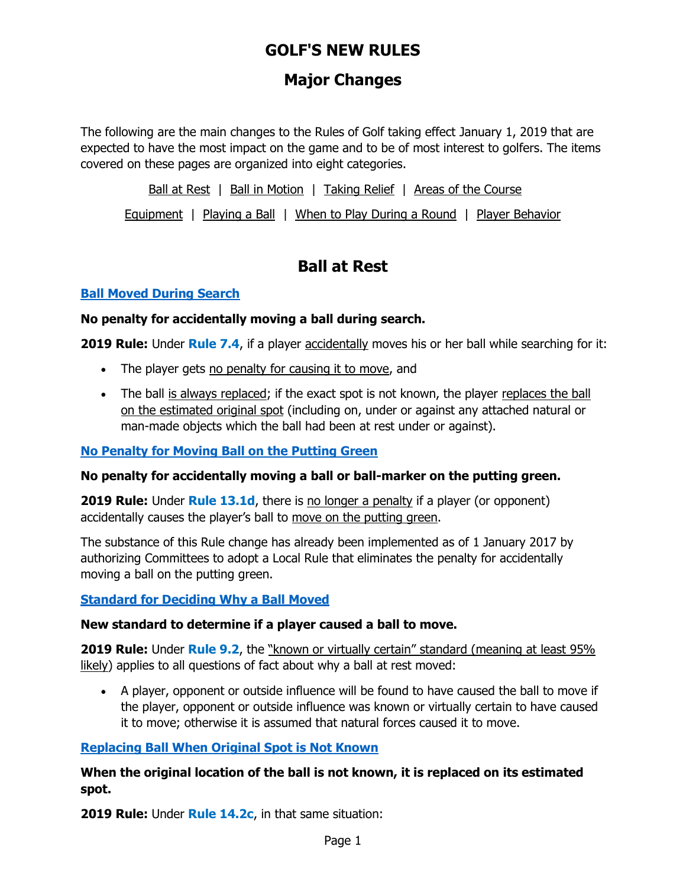# **Major Changes**

The following are the main changes to the Rules of Golf taking effect January 1, 2019 that are expected to have the most impact on the game and to be of most interest to golfers. The items covered on these pages are organized into eight categories.

[Ball at Rest](http://www.usga.org/content/usga/home-page/rules-hub/rules-modernization/major-changes/major-changes.html) | [Ball in Motion](http://www.usga.org/content/usga/home-page/rules-hub/rules-modernization/major-changes/major-changes.html#ballinmotion) | [Taking Relief](http://www.usga.org/content/usga/home-page/rules-hub/rules-modernization/major-changes/major-changes.html#relief) | [Areas of the Course](http://www.usga.org/content/usga/home-page/rules-hub/rules-modernization/major-changes/major-changes.html#areas)

[Equipment](http://www.usga.org/content/usga/home-page/rules-hub/rules-modernization/major-changes/major-changes.html#equipment) | [Playing a Ball](http://www.usga.org/content/usga/home-page/rules-hub/rules-modernization/major-changes/major-changes.html#playingaball) | [When to Play During a Round](http://www.usga.org/content/usga/home-page/rules-hub/rules-modernization/major-changes/major-changes.html#duringaround) | [Player Behavior](http://www.usga.org/content/usga/home-page/rules-hub/rules-modernization/major-changes/major-changes.html#behavior)

## **Ball at Rest**

### **[Ball Moved During Search](http://www.usga.org/content/usga/home-page/rules-hub/rules-modernization/major-changes/ball-moved-during-search.html)**

### **No penalty for accidentally moving a ball during search.**

**2019 Rule:** Under **Rule 7.4**, if a player accidentally moves his or her ball while searching for it:

- The player gets no penalty for causing it to move, and
- The ball is always replaced; if the exact spot is not known, the player replaces the ball on the estimated original spot (including on, under or against any attached natural or man-made objects which the ball had been at rest under or against).

### **[No Penalty for Moving Ball on the Putting Green](http://www.usga.org/content/usga/home-page/rules-hub/rules-modernization/major-changes/no-penalty-for-moving-a-ball-on-the-putting-green.html)**

### **No penalty for accidentally moving a ball or ball-marker on the putting green.**

**2019 Rule:** Under **Rule 13.1d**, there is no longer a penalty if a player (or opponent) accidentally causes the player's ball to move on the putting green.

The substance of this Rule change has already been implemented as of 1 January 2017 by authorizing Committees to adopt a Local Rule that eliminates the penalty for accidentally moving a ball on the putting green.

### **[Standard for Deciding Why a Ball Moved](http://www.usga.org/content/usga/home-page/rules-hub/rules-modernization/major-changes/standard-for-deciding-why-a-ball-moved.html)**

### **New standard to determine if a player caused a ball to move.**

**2019 Rule:** Under **Rule 9.2**, the "known or virtually certain" standard (meaning at least 95% likely) applies to all questions of fact about why a ball at rest moved:

 A player, opponent or outside influence will be found to have caused the ball to move if the player, opponent or outside influence was known or virtually certain to have caused it to move; otherwise it is assumed that natural forces caused it to move.

### **[Replacing Ball When Original Spot is Not Known](http://www.usga.org/content/usga/home-page/rules-hub/rules-modernization/major-changes/replacing-ball-when-original-spot-is-not-known.html)**

**When the original location of the ball is not known, it is replaced on its estimated spot.**

**2019 Rule:** Under **Rule 14.2c**, in that same situation: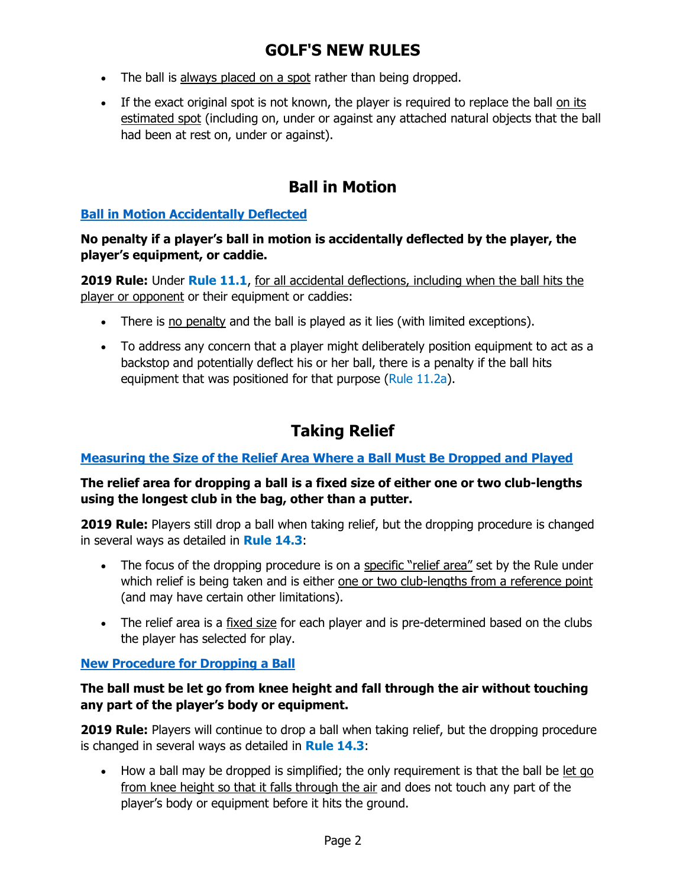- The ball is always placed on a spot rather than being dropped.
- If the exact original spot is not known, the player is required to replace the ball on its estimated spot (including on, under or against any attached natural objects that the ball had been at rest on, under or against).

# **Ball in Motion**

### **[Ball in Motion Accidentally Deflected](http://www.usga.org/content/usga/home-page/rules-hub/rules-modernization/major-changes/ball-in-motion-accidentally-deflected.html)**

#### **No penalty if a player's ball in motion is accidentally deflected by the player, the player's equipment, or caddie.**

**2019 Rule:** Under **Rule 11.1**, for all accidental deflections, including when the ball hits the player or opponent or their equipment or caddies:

- There is no penalty and the ball is played as it lies (with limited exceptions).
- To address any concern that a player might deliberately position equipment to act as a backstop and potentially deflect his or her ball, there is a penalty if the ball hits equipment that was positioned for that purpose (Rule 11.2a).

# **Taking Relief**

### **[Measuring the Size of the Relief Area Where a Ball Must Be Dropped and Played](http://www.usga.org/content/usga/home-page/rules-hub/rules-modernization/major-changes/measuring-the-size-of-the-relief-area.html)**

### **The relief area for dropping a ball is a fixed size of either one or two club-lengths using the longest club in the bag, other than a putter.**

**2019 Rule:** Players still drop a ball when taking relief, but the dropping procedure is changed in several ways as detailed in **Rule 14.3**:

- The focus of the dropping procedure is on a specific "relief area" set by the Rule under which relief is being taken and is either one or two club-lengths from a reference point (and may have certain other limitations).
- The relief area is a fixed size for each player and is pre-determined based on the clubs the player has selected for play.

### **[New Procedure for Dropping a Ball](http://www.usga.org/content/usga/home-page/rules-hub/rules-modernization/major-changes/new-procedure-for-dropping-a-ball.html)**

### **The ball must be let go from knee height and fall through the air without touching any part of the player's body or equipment.**

**2019 Rule:** Players will continue to drop a ball when taking relief, but the dropping procedure is changed in several ways as detailed in **Rule 14.3**:

• How a ball may be dropped is simplified; the only requirement is that the ball be let go from knee height so that it falls through the air and does not touch any part of the player's body or equipment before it hits the ground.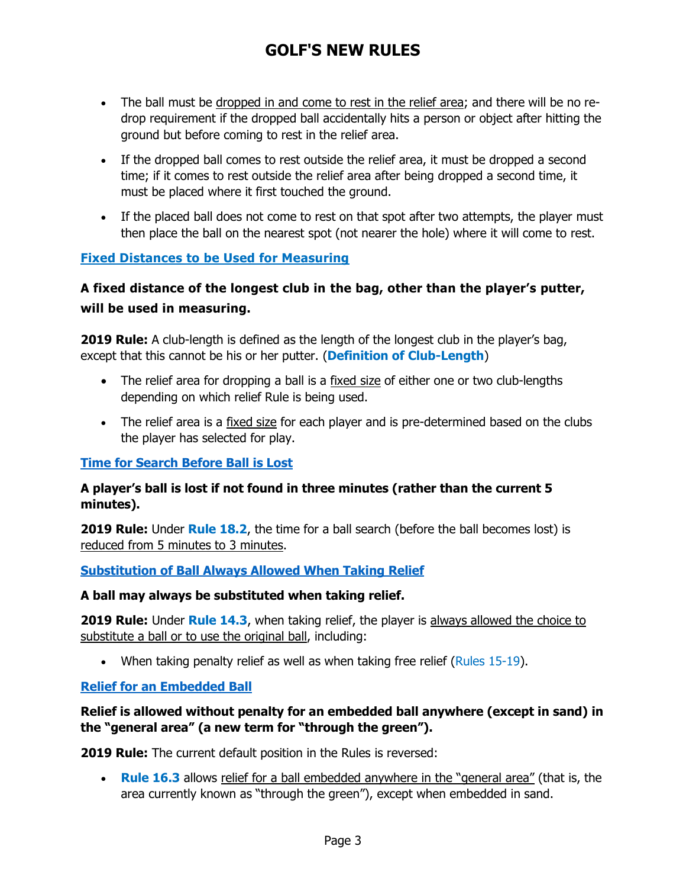- The ball must be dropped in and come to rest in the relief area; and there will be no redrop requirement if the dropped ball accidentally hits a person or object after hitting the ground but before coming to rest in the relief area.
- If the dropped ball comes to rest outside the relief area, it must be dropped a second time; if it comes to rest outside the relief area after being dropped a second time, it must be placed where it first touched the ground.
- If the placed ball does not come to rest on that spot after two attempts, the player must then place the ball on the nearest spot (not nearer the hole) where it will come to rest.

### **[Fixed Distances to be Used for Measuring](http://www.usga.org/content/usga/home-page/rules-hub/rules-modernization/major-changes/taking-relief.html)**

### **A fixed distance of the longest club in the bag, other than the player's putter, will be used in measuring.**

**2019 Rule:** A club-length is defined as the length of the longest club in the player's bag, except that this cannot be his or her putter. (**Definition of Club-Length**)

- The relief area for dropping a ball is a fixed size of either one or two club-lengths depending on which relief Rule is being used.
- The relief area is a fixed size for each player and is pre-determined based on the clubs the player has selected for play.

### **[Time for Search Before Ball is Lost](http://www.usga.org/content/usga/home-page/rules-hub/rules-modernization/major-changes/reduced-time-for-search-before-a-ball-is-lost.html)**

#### **A player's ball is lost if not found in three minutes (rather than the current 5 minutes).**

**2019 Rule:** Under **Rule 18.2**, the time for a ball search (before the ball becomes lost) is reduced from 5 minutes to 3 minutes.

### **[Substitution of Ball Always Allowed When Taking Relief](http://www.usga.org/content/usga/home-page/rules-hub/rules-modernization/major-changes/substitution-of-a-ball-always-allowed-when-taking-relief.html)**

#### **A ball may always be substituted when taking relief.**

**2019 Rule:** Under **Rule 14.3**, when taking relief, the player is always allowed the choice to substitute a ball or to use the original ball, including:

• When taking penalty relief as well as when taking free relief (Rules  $15-19$ ).

### **Relief for [an Embedded Ball](http://www.usga.org/content/usga/home-page/rules-hub/rules-modernization/major-changes/relief-for-an-embedded-ball.html)**

### **Relief is allowed without penalty for an embedded ball anywhere (except in sand) in the "general area" (a new term for "through the green").**

**2019 Rule:** The current default position in the Rules is reversed:

 **Rule 16.3** allows relief for a ball embedded anywhere in the "general area" (that is, the area currently known as "through the green"), except when embedded in sand.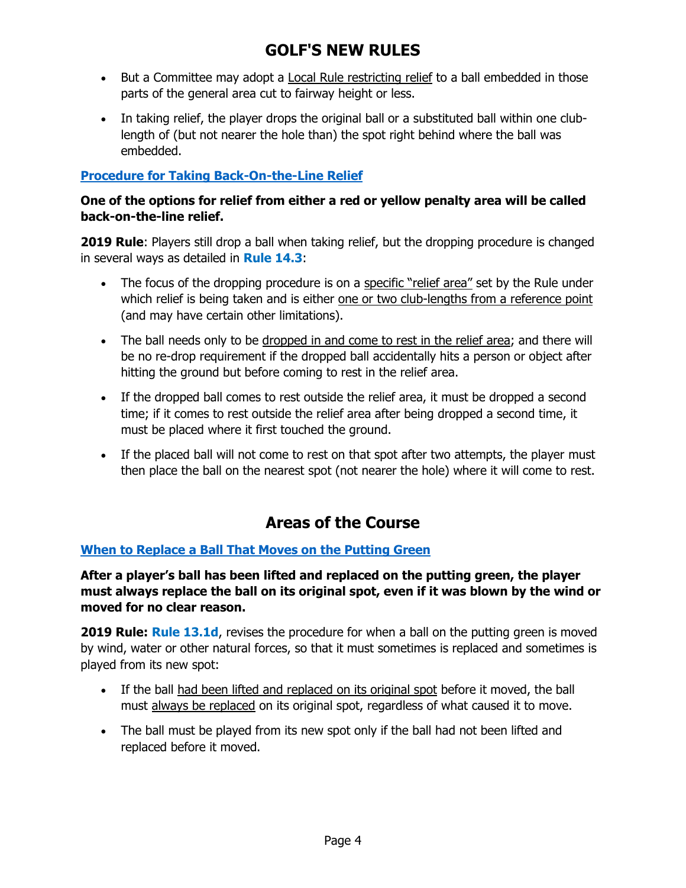- But a Committee may adopt a Local Rule restricting relief to a ball embedded in those parts of the general area cut to fairway height or less.
- In taking relief, the player drops the original ball or a substituted ball within one clublength of (but not nearer the hole than) the spot right behind where the ball was embedded.

### **[Procedure for Taking Back-On-the-Line Relief](http://www.usga.org/content/usga/home-page/rules-hub/rules-modernization/major-changes/procedure-for-taking-back-on-a-line-relief.html)**

#### **One of the options for relief from either a red or yellow penalty area will be called back-on-the-line relief.**

**2019 Rule**: Players still drop a ball when taking relief, but the dropping procedure is changed in several ways as detailed in **Rule 14.3**:

- The focus of the dropping procedure is on a specific "relief area" set by the Rule under which relief is being taken and is either one or two club-lengths from a reference point (and may have certain other limitations).
- The ball needs only to be dropped in and come to rest in the relief area; and there will be no re-drop requirement if the dropped ball accidentally hits a person or object after hitting the ground but before coming to rest in the relief area.
- If the dropped ball comes to rest outside the relief area, it must be dropped a second time; if it comes to rest outside the relief area after being dropped a second time, it must be placed where it first touched the ground.
- If the placed ball will not come to rest on that spot after two attempts, the player must then place the ball on the nearest spot (not nearer the hole) where it will come to rest.

# **Areas of the Course**

### **[When to Replace a Ball That Moves on the Putting Green](http://www.usga.org/content/usga/home-page/rules-hub/rules-modernization/major-changes/when-to-replace-a-ball-that-moves-on-a-putting-green.html)**

**After a player's ball has been lifted and replaced on the putting green, the player must always replace the ball on its original spot, even if it was blown by the wind or moved for no clear reason.**

**2019 Rule: Rule 13.1d, revises the procedure for when a ball on the putting green is moved** by wind, water or other natural forces, so that it must sometimes is replaced and sometimes is played from its new spot:

- If the ball had been lifted and replaced on its original spot before it moved, the ball must always be replaced on its original spot, regardless of what caused it to move.
- The ball must be played from its new spot only if the ball had not been lifted and replaced before it moved.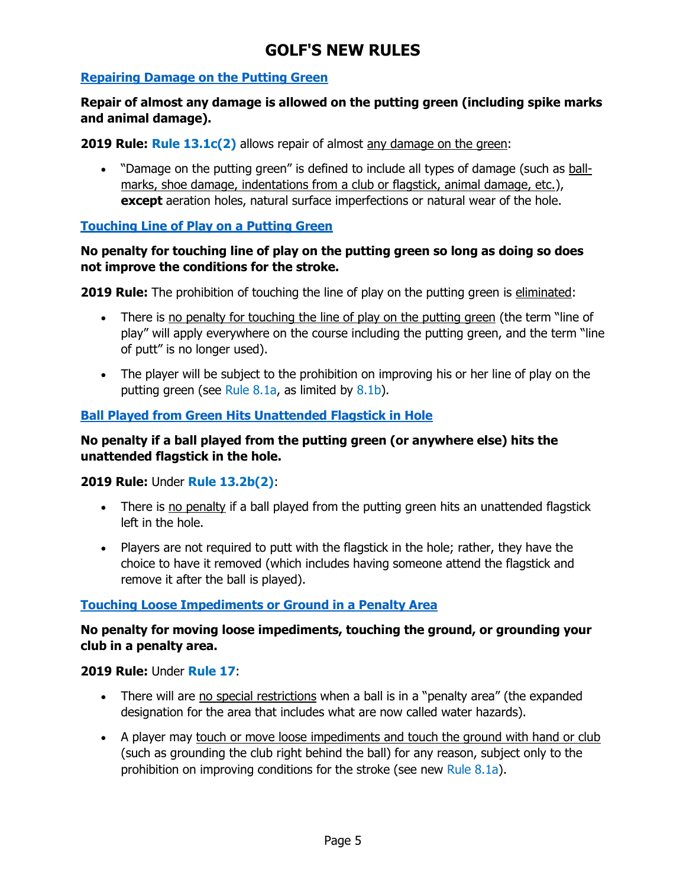### **[Repairing Damage on the Putting Green](http://www.usga.org/content/usga/home-page/rules-hub/rules-modernization/major-changes/repairing-damage-on-the-putting-green.html)**

#### **Repair of almost any damage is allowed on the putting green (including spike marks and animal damage).**

**2019 Rule: Rule 13.1c(2)** allows repair of almost any damage on the green:

 "Damage on the putting green" is defined to include all types of damage (such as ballmarks, shoe damage, indentations from a club or flagstick, animal damage, etc.), **except** aeration holes, natural surface imperfections or natural wear of the hole.

#### **[Touching Line of Play on a Putting Green](http://www.usga.org/content/usga/home-page/rules-hub/rules-modernization/major-changes/touching-the-line-of-play-on-a-putting-green.html)**

#### **No penalty for touching line of play on the putting green so long as doing so does not improve the conditions for the stroke.**

**2019 Rule:** The prohibition of touching the line of play on the putting green is eliminated:

- There is no penalty for touching the line of play on the putting green (the term "line of play" will apply everywhere on the course including the putting green, and the term "line of putt" is no longer used).
- The player will be subject to the prohibition on improving his or her line of play on the putting green (see Rule 8.1a, as limited by 8.1b).

### **Ball Played [from Green Hits Unattended Flagstick in Hole](http://www.usga.org/content/usga/home-page/rules-hub/rules-modernization/major-changes/ball-played-from-the-putting-green-hits-unattended-flagstick-in-hole.html)**

#### **No penalty if a ball played from the putting green (or anywhere else) hits the unattended flagstick in the hole.**

**2019 Rule:** Under **Rule 13.2b(2)**:

- There is no penalty if a ball played from the putting green hits an unattended flagstick left in the hole.
- Players are not required to putt with the flagstick in the hole; rather, they have the choice to have it removed (which includes having someone attend the flagstick and remove it after the ball is played).

#### **[Touching Loose Impediments or Ground in a Penalty Area](http://www.usga.org/content/usga/home-page/rules-hub/rules-modernization/major-changes/touching-or-moving-loose-impediments-or-ground.html)**

### **No penalty for moving loose impediments, touching the ground, or grounding your club in a penalty area.**

#### **2019 Rule:** Under **Rule 17**:

- There will are no special restrictions when a ball is in a "penalty area" (the expanded designation for the area that includes what are now called water hazards).
- A player may touch or move loose impediments and touch the ground with hand or club (such as grounding the club right behind the ball) for any reason, subject only to the prohibition on improving conditions for the stroke (see new Rule 8.1a).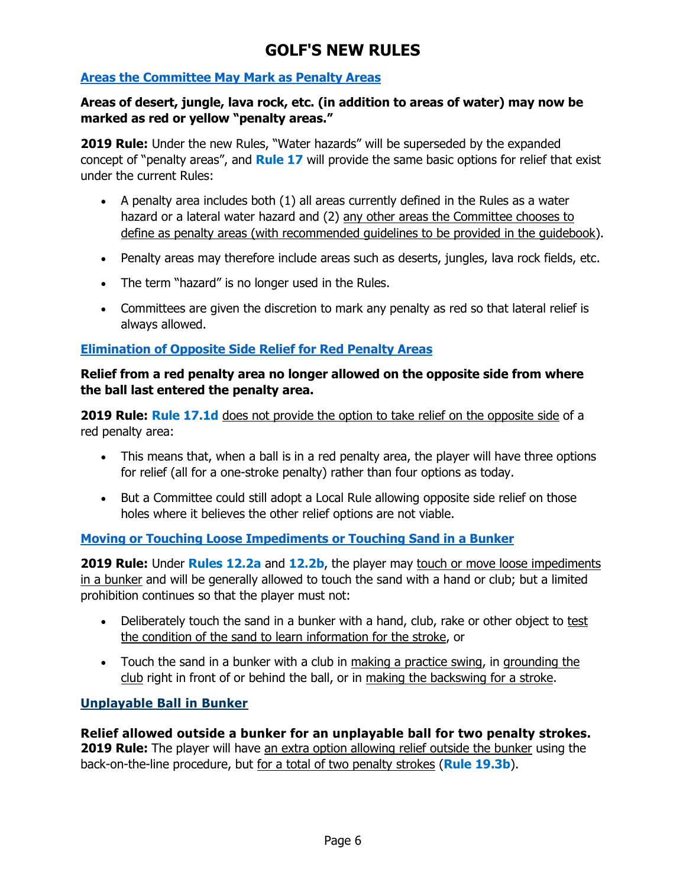### **[Areas the Committee May Mark as Penalty Areas](http://www.usga.org/content/usga/home-page/rules-hub/rules-modernization/major-changes/areas-the-committee-may-mark-as-penalty-areas.html)**

#### **Areas of desert, jungle, lava rock, etc. (in addition to areas of water) may now be marked as red or yellow "penalty areas."**

**2019 Rule:** Under the new Rules, "Water hazards" will be superseded by the expanded concept of "penalty areas", and **Rule 17** will provide the same basic options for relief that exist under the current Rules:

- $\bullet$  A penalty area includes both  $(1)$  all areas currently defined in the Rules as a water hazard or a lateral water hazard and (2) any other areas the Committee chooses to define as penalty areas (with recommended guidelines to be provided in the guidebook).
- Penalty areas may therefore include areas such as deserts, jungles, lava rock fields, etc.
- The term "hazard" is no longer used in the Rules.
- Committees are given the discretion to mark any penalty as red so that lateral relief is always allowed.

### **[Elimination of Opposite Side Relief for Red Penalty Areas](http://www.usga.org/content/usga/home-page/rules-hub/rules-modernization/major-changes/elimination-of-opposite-side-relief-for-red-pen.html)**

### **Relief from a red penalty area no longer allowed on the opposite side from where the ball last entered the penalty area.**

**2019 Rule: Rule 17.1d** does not provide the option to take relief on the opposite side of a red penalty area:

- This means that, when a ball is in a red penalty area, the player will have three options for relief (all for a one-stroke penalty) rather than four options as today.
- But a Committee could still adopt a Local Rule allowing opposite side relief on those holes where it believes the other relief options are not viable.

### **[Moving or Touching Loose Impediments or Touching Sand in a Bunker](http://www.usga.org/content/usga/home-page/rules-hub/rules-modernization/major-changes/moving-or-touching-loose-impediments-or-sand-in-a-bunker.html)**

**2019 Rule:** Under **Rules 12.2a** and **12.2b**, the player may touch or move loose impediments in a bunker and will be generally allowed to touch the sand with a hand or club; but a limited prohibition continues so that the player must not:

- Deliberately touch the sand in a bunker with a hand, club, rake or other object to test the condition of the sand to learn information for the stroke, or
- Touch the sand in a bunker with a club in making a practice swing, in grounding the club right in front of or behind the ball, or in making the backswing for a stroke.

### **[Unplayable Ball in Bunker](http://www.usga.org/content/usga/home-page/rules-hub/rules-modernization/major-changes/unplayable-ball-in-a-bunker.html)**

**Relief allowed outside a bunker for an unplayable ball for two penalty strokes. 2019 Rule:** The player will have an extra option allowing relief outside the bunker using the back-on-the-line procedure, but for a total of two penalty strokes (**Rule 19.3b**).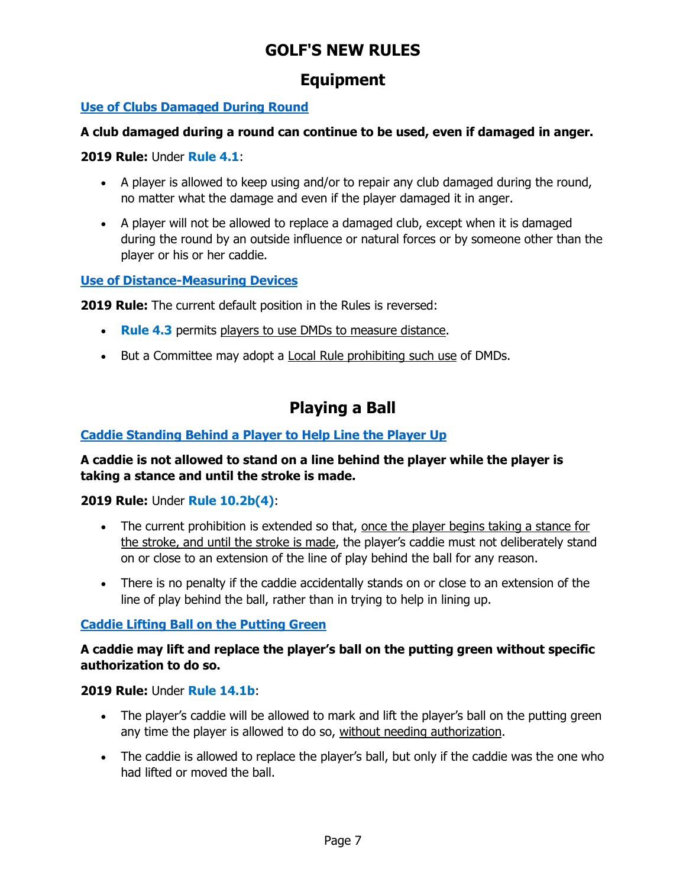### **Equipment**

### **[Use of Clubs Damaged During Round](http://www.usga.org/content/usga/home-page/rules-hub/rules-modernization/major-changes/use-of-clubs-damaged-during-round.html)**

### **A club damaged during a round can continue to be used, even if damaged in anger.**

### **2019 Rule:** Under **Rule 4.1**:

- A player is allowed to keep using and/or to repair any club damaged during the round, no matter what the damage and even if the player damaged it in anger.
- A player will not be allowed to replace a damaged club, except when it is damaged during the round by an outside influence or natural forces or by someone other than the player or his or her caddie.

### **[Use of Distance-Measuring Devices](http://www.usga.org/content/usga/home-page/rules-hub/rules-modernization/major-changes/use-of-distance-measuring-devices.html)**

**2019 Rule:** The current default position in the Rules is reversed:

- **Rule 4.3** permits players to use DMDs to measure distance.
- But a Committee may adopt a Local Rule prohibiting such use of DMDs.

# **Playing a Ball**

### **[Caddie Standing Behind a Player to Help Line the Player Up](http://www.usga.org/content/usga/home-page/rules-hub/rules-modernization/major-changes/caddie-standing-behind-a-player-to-help-line-player-up.html)**

### **A caddie is not allowed to stand on a line behind the player while the player is taking a stance and until the stroke is made.**

**2019 Rule:** Under **Rule 10.2b(4)**:

- The current prohibition is extended so that, once the player begins taking a stance for the stroke, and until the stroke is made, the player's caddie must not deliberately stand on or close to an extension of the line of play behind the ball for any reason.
- There is no penalty if the caddie accidentally stands on or close to an extension of the line of play behind the ball, rather than in trying to help in lining up.

### **[Caddie Lifting Ball on the Putting Green](http://www.usga.org/content/usga/home-page/rules-hub/rules-modernization/major-changes/caddie-lifting-ball-on-the-putting-green.html)**

### **A caddie may lift and replace the player's ball on the putting green without specific authorization to do so.**

### **2019 Rule:** Under **Rule 14.1b**:

- The player's caddie will be allowed to mark and lift the player's ball on the putting green any time the player is allowed to do so, without needing authorization.
- The caddie is allowed to replace the player's ball, but only if the caddie was the one who had lifted or moved the ball.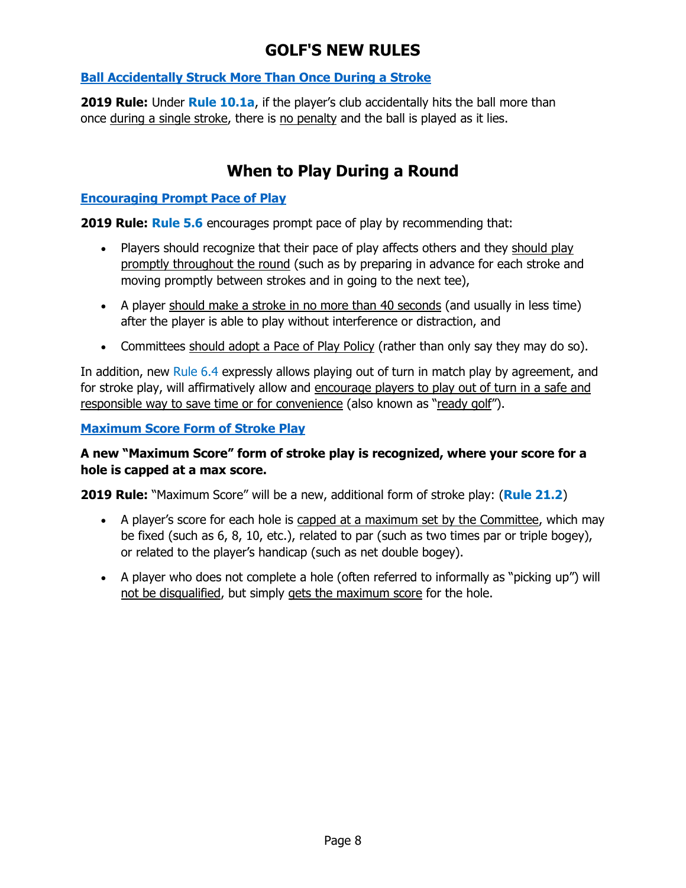### **[Ball Accidentally Struck More Than Once During a Stroke](http://www.usga.org/content/usga/home-page/rules-hub/rules-modernization/major-changes/ball-accidentally-struck-more-than-once.html)**

**2019 Rule:** Under **Rule 10.1a**, if the player's club accidentally hits the ball more than once during a single stroke, there is no penalty and the ball is played as it lies.

# **When to Play During a Round**

#### **[Encouraging Prompt Pace of Play](http://www.usga.org/content/usga/home-page/rules-hub/rules-modernization/major-changes/encouraging-prompt-pace-of-play.html)**

**2019 Rule: Rule 5.6** encourages prompt pace of play by recommending that:

- Players should recognize that their pace of play affects others and they should play promptly throughout the round (such as by preparing in advance for each stroke and moving promptly between strokes and in going to the next tee),
- A player should make a stroke in no more than 40 seconds (and usually in less time) after the player is able to play without interference or distraction, and
- Committees should adopt a Pace of Play Policy (rather than only say they may do so).

In addition, new Rule 6.4 expressly allows playing out of turn in match play by agreement, and for stroke play, will affirmatively allow and encourage players to play out of turn in a safe and responsible way to save time or for convenience (also known as "ready golf").

**[Maximum Score Form of Stroke Play](http://www.usga.org/content/usga/home-page/rules-hub/rules-modernization/major-changes/maximum-score--form-of-stroke-play.html)**

### **A new "Maximum Score" form of stroke play is recognized, where your score for a hole is capped at a max score.**

**2019 Rule:** "Maximum Score" will be a new, additional form of stroke play: (**Rule 21.2**)

- A player's score for each hole is capped at a maximum set by the Committee, which may be fixed (such as 6, 8, 10, etc.), related to par (such as two times par or triple bogey), or related to the player's handicap (such as net double bogey).
- A player who does not complete a hole (often referred to informally as "picking up") will not be disqualified, but simply gets the maximum score for the hole.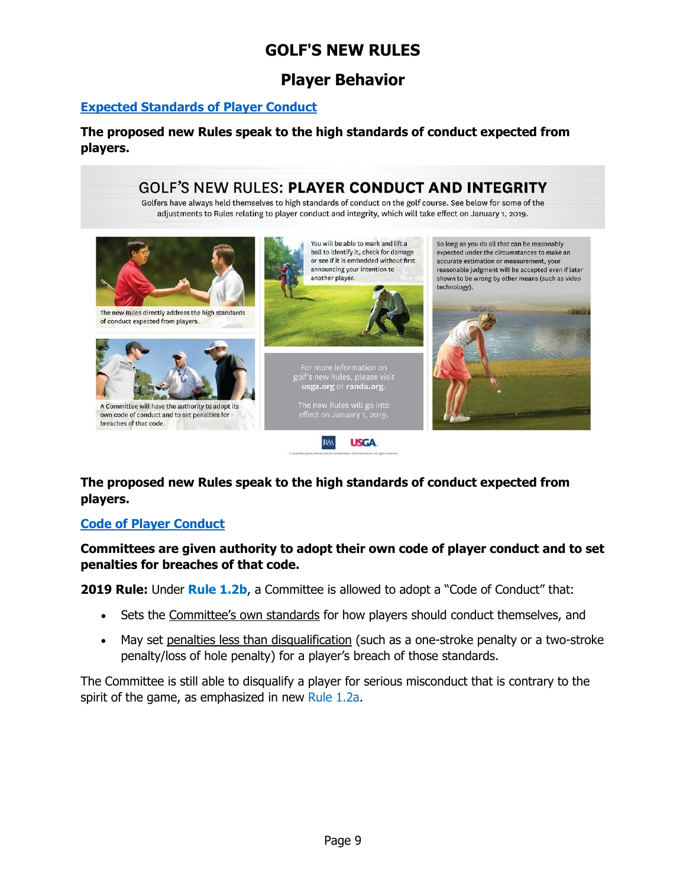### **Player Behavior**

#### **[Expected Standards of Player Conduct](http://www.usga.org/content/usga/home-page/rules-hub/rules-modernization/major-changes/expected-standards-of-player-conduct.html)**

**The proposed new Rules speak to the high standards of conduct expected from players.**



**The proposed new Rules speak to the high standards of conduct expected from players.**

### **[Code of Player Conduct](http://www.usga.org/content/usga/home-page/rules-hub/rules-modernization/major-changes/code-of-player-conduct.html)**

**Committees are given authority to adopt their own code of player conduct and to set penalties for breaches of that code.**

**2019 Rule:** Under **Rule 1.2b**, a Committee is allowed to adopt a "Code of Conduct" that:

- Sets the Committee's own standards for how players should conduct themselves, and
- May set penalties less than disqualification (such as a one-stroke penalty or a two-stroke penalty/loss of hole penalty) for a player's breach of those standards.

The Committee is still able to disqualify a player for serious misconduct that is contrary to the spirit of the game, as emphasized in new Rule 1.2a.